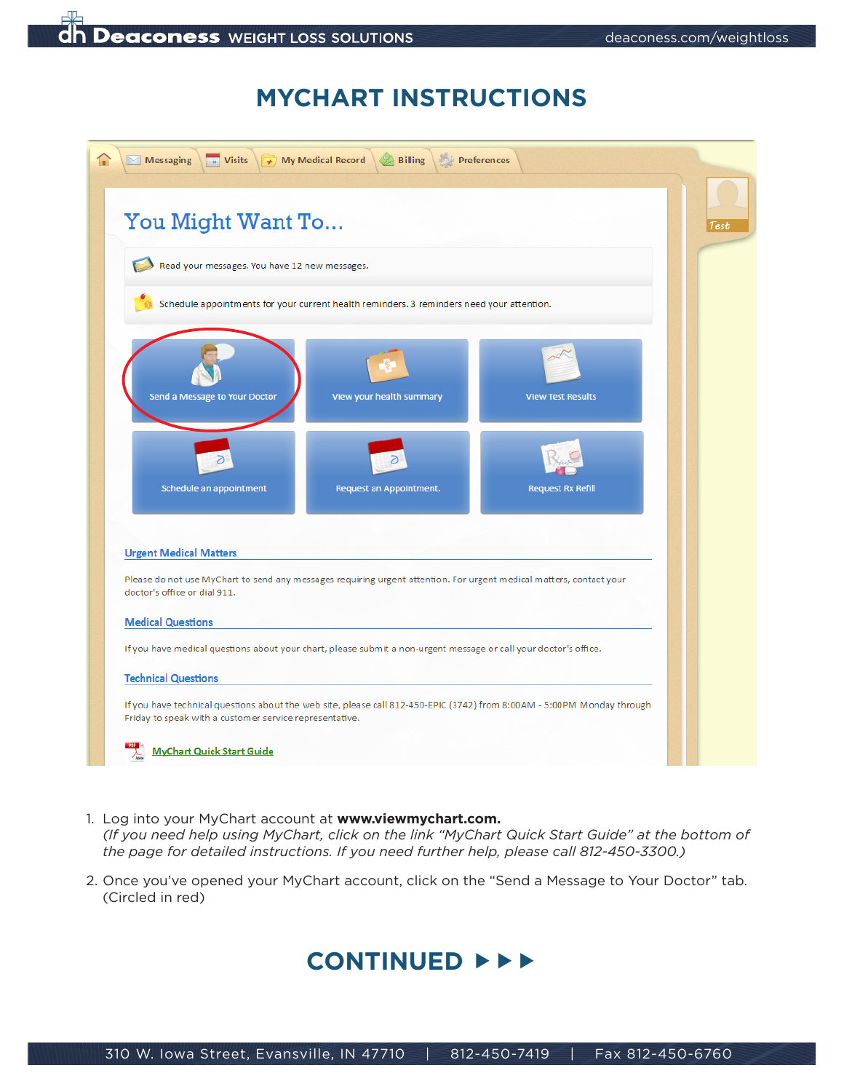

## **MYCHART INSTRUCTIONS**

|                                                          | You Might Want To                             |                                                                                                                     |                          | Test |
|----------------------------------------------------------|-----------------------------------------------|---------------------------------------------------------------------------------------------------------------------|--------------------------|------|
|                                                          | Read your messages. You have 12 new messages. |                                                                                                                     |                          |      |
|                                                          |                                               | Schedule appointments for your current health reminders. 3 reminders need your attention.                           |                          |      |
| Send a Message to Your Doctor                            |                                               | View your health summary                                                                                            | <b>View Test Results</b> |      |
| Schedule an appointment                                  |                                               | <b>Request an Appointment.</b>                                                                                      | <b>Request Rx Refill</b> |      |
| <b>Urgent Medical Matters</b>                            |                                               | Please do not use MyChart to send any messages requiring urgent attention. For urgent medical matters, contact your |                          |      |
| doctor's office or dial 911.<br><b>Medical Questions</b> |                                               |                                                                                                                     |                          |      |
|                                                          |                                               | If you have medical questions about your chart, please submit a non-urgent message or call your doctor's office.    |                          |      |
|                                                          |                                               |                                                                                                                     |                          |      |

- 1. Log into your MyChart account at **www.viewmychart.com.** *(If you need help using MyChart, click on the link "MyChart Quick Start Guide" at the bottom of the page for detailed instructions. If you need further help, please call 812-450-3300.)*
- 2. Once you've opened your MyChart account, click on the "Send a Message to Your Doctor" tab. (Circled in red)

## **CONTINUED**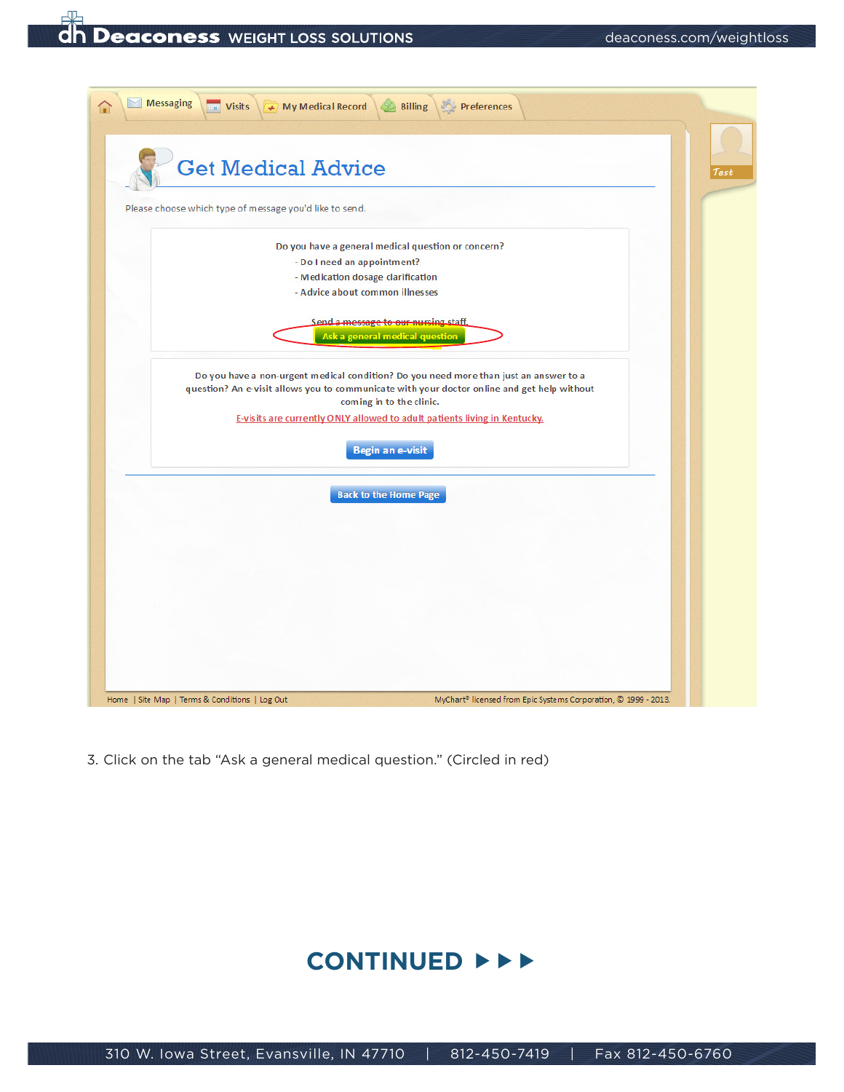

3. Click on the tab "Ask a general medical question." (Circled in red)

## **CONTINUED**